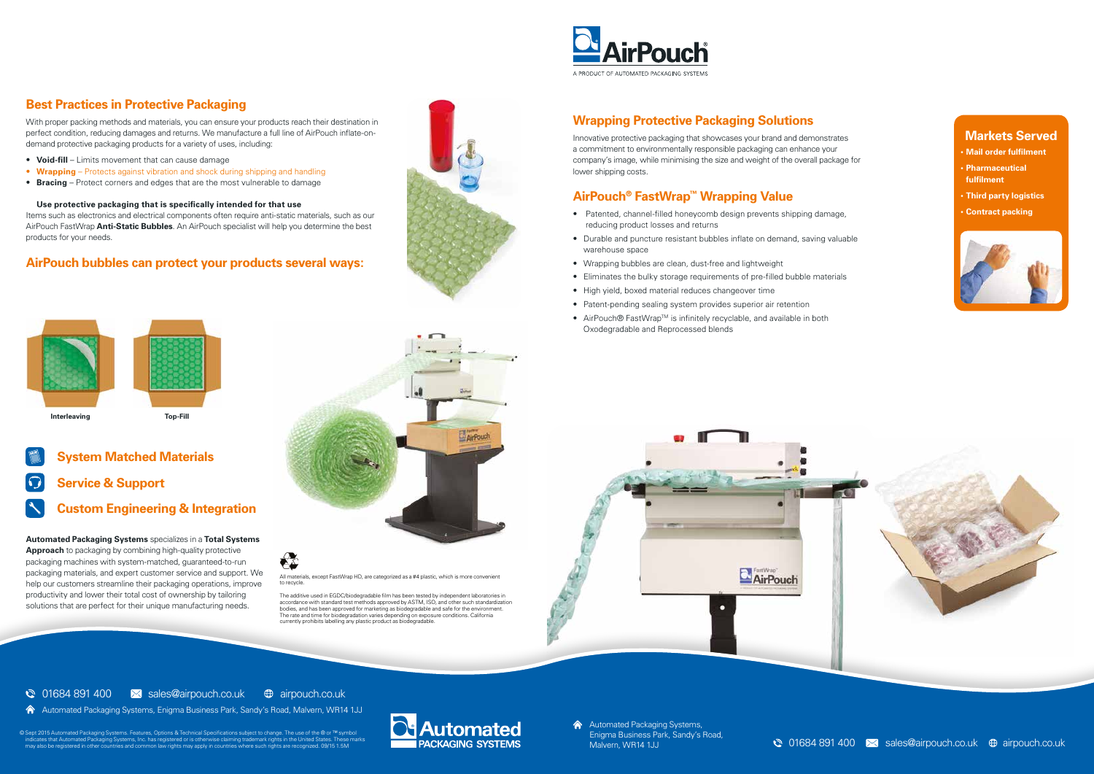All materials, except FastWrap HD, are categorized as a #4 plastic, which is more convenient to recycle.

The additive used in EGDC/biodegradable film has been tested by independent laboratories in accordance with standard test methods approved by ASTM, ISO, and other such standardization bodies, and has been approved for marketing as biodegradable and safe for the environment. The rate and time for biodegradation varies depending on exposure conditions. California currently prohibits labelling any plastic product as biodegradable.





# **Custom Engineering & Integration**

**Automated Packaging Systems** specializes in a **Total Systems Approach** to packaging by combining high-quality protective packaging machines with system-matched, guaranteed-to-run packaging materials, and expert customer service and support. We help our customers streamline their packaging operations, improve productivity and lower their total cost of ownership by tailoring solutions that are perfect for their unique manufacturing needs.



#### **Markets Served**

- **• Mail order fulfilment**
- **• Pharmaceutical fulfilment**
- **• Third party logistics**
- **• Contract packing**



# **Best Practices in Protective Packaging**

With proper packing methods and materials, you can ensure your products reach their destination in perfect condition, reducing damages and returns. We manufacture a full line of AirPouch inflate-ondemand protective packaging products for a variety of uses, including:

> **A** Automated Packaging Systems, Enigma Business Park, Sandy's Road,

© Sept 2015 Automated Packaging Systems. Features, Options & Technical Specifications subject to change. The use of the ® or ™ symbol indicates that 120 conditates that Automated Packaging Systems, Inc. has registered or

- ∙ **Void-fill** Limits movement that can cause damage
- ∙ **Wrapping** Protects against vibration and shock during shipping and handling
- ∙ **Bracing** Protect corners and edges that are the most vulnerable to damage

**Use protective packaging that is specifically intended for that use**

Items such as electronics and electrical components often require anti-static materials, such as our AirPouch FastWrap **Anti-Static Bubbles**. An AirPouch specialist will help you determine the best products for your needs.

#### **AirPouch bubbles can protect your products several ways:**



## **Wrapping Protective Packaging Solutions**

Innovative protective packaging that showcases your brand and demonstrates a commitment to environmentally responsible packaging can enhance your company's image, while minimising the size and weight of the overall package for lower shipping costs.

# **AirPouch® FastWrap™ Wrapping Value**

- ∙ Patented, channel-filled honeycomb design prevents shipping damage, reducing product losses and returns
- ∙ Durable and puncture resistant bubbles inflate on demand, saving valuable warehouse space
- ∙ Wrapping bubbles are clean, dust-free and lightweight
- ∙ Eliminates the bulky storage requirements of pre-filled bubble materials
- ∙ High yield, boxed material reduces changeover time
- ∙ Patent-pending sealing system provides superior air retention
- ∙ AirPouch® FastWrapTM is infinitely recyclable, and available in both Oxodegradable and Reprocessed blends



 $\odot$  01684 891 400  $\otimes$  sales@airpouch.co.uk  $\oplus$  airpouch.co.uk

Automated Packaging Systems, Enigma Business Park, Sandy's Road, Malvern, WR14 1JJ